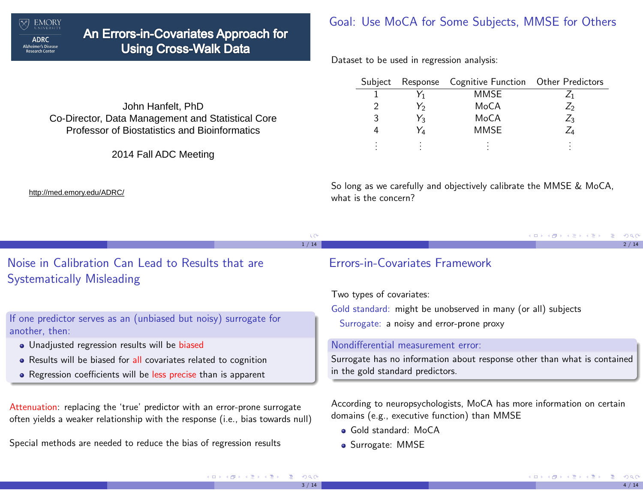

# An Errors-in-Covariates Approach for **Using Cross-Walk Data**

### Goal: Use MoCA for Some Subjects, MMSE for Others

Dataset to be used in regression analysis:

| Subject       |    | Response Cognitive Function Other Predictors |                 |
|---------------|----|----------------------------------------------|-----------------|
|               |    | <b>MMSE</b>                                  |                 |
| $\mathcal{P}$ | Y2 | MoCA                                         | $\mathcal{L}_2$ |
| 3             | Y3 | MoCA                                         | $Z_3$           |
|               | Ya | <b>MMSE</b>                                  |                 |
| ٠             |    |                                              |                 |

John Hanfelt, PhDCo-Director, Data Management and Statistical Core Professor of Biostatistics and Bioinformatics

2014 Fall ADC Meeting

http://med.emory.edu/ADRC/

So long as we carefully and objectively calibrate the MMSE & MoCA,what is the concern?

|      |  | - KD → K@ → K 할 → K 할 → L 할 → K) Q (^ L |      |
|------|--|-----------------------------------------|------|
| 1/14 |  |                                         | 2/14 |

# Noise in Calibration Can Lead to Results that areSystematically Misleading

If one predictor serves as an (unbiased but noisy) surrogate foranother, then:

- Unadjusted regression results will be biased
- Results will be biased for all covariates related to cognition
- Regression coefficients will be <mark>less precise</mark> than is apparent

Attenuation: replacing the 'true' predictor with an error-prone surrogateoften yields a weaker relationship with the response (i.e., bias towards null)

Special methods are needed to reduce the bias of regression results

### Errors-in-Covariates Framework

Two types of covariates:

Gold standard: might be unobserved in many (or all) subjects

Surrogate: a noisy and error-prone proxy

#### Nondifferential measurement error:

Surrogate has no information about response other than what is containedin the gold standard predictors.

According to neuropsychologists, MoCA has more information on certaindomains (e.g., executive function) than MMSE

- Gold standard: MoCA
- Surrogate: MMSE

 $3 / 14$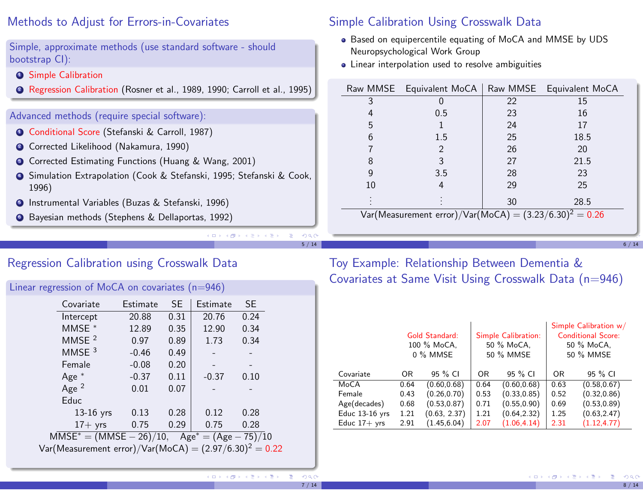### Methods to Adjust for Errors-in-Covariates

Simple, approximate methods (use standard software - shouldbootstrap CI):

- 1 Simple Calibration
- 2 Regression Calibration (Rosner et al., 1989, 1990; Carroll et al., 1995)

#### Advanced methods (require special software):

- 1 Conditional Score (Stefanski & Carroll, 1987)
- 2 Corrected Likelihood (Nakamura, 1990)
- 3 Corrected Estimating Functions (Huang & Wang, 2001)
- 4 Simulation Extrapolation (Cook & Stefanski, 1995; Stefanski & Cook,1996)
- 5 Instrumental Variables (Buzas & Stefanski, 1996)
- 6 Bayesian methods (Stephens & Dellaportas, 1992)

### Simple Calibration Using Crosswalk Data

- Based on equipercentile equating of MoCA and MMSE by UDS Neuropsychological Work Group
- Linear interpolation used to resolve ambiguities

|                                                           | Raw MMSE Equivalent MoCA |    | Raw MMSE Equivalent MoCA |  |  |  |  |  |
|-----------------------------------------------------------|--------------------------|----|--------------------------|--|--|--|--|--|
| 3                                                         |                          | 22 | 15                       |  |  |  |  |  |
| 4                                                         | 0.5                      | 23 | 16                       |  |  |  |  |  |
| 5                                                         |                          | 24 | 17                       |  |  |  |  |  |
| 6                                                         | 1.5                      | 25 | 18.5                     |  |  |  |  |  |
|                                                           | 2                        | 26 | 20                       |  |  |  |  |  |
| 8                                                         | 3                        | 27 | 21.5                     |  |  |  |  |  |
| 9                                                         | 3.5                      | 28 | 23                       |  |  |  |  |  |
| 10                                                        | 4                        | 29 | 25                       |  |  |  |  |  |
|                                                           |                          | 30 | 28.5                     |  |  |  |  |  |
| Var(Measurement error)/Var(MoCA) = $(3.23/6.30)^2$ = 0.26 |                          |    |                          |  |  |  |  |  |

6 / 14

# Regression Calibration using Crosswalk Data

| Linear regression of MoCA on covariates (n=946)           |          |           |          |           |  |
|-----------------------------------------------------------|----------|-----------|----------|-----------|--|
| Covariate                                                 | Estimate | <b>SE</b> | Estimate | <b>SE</b> |  |
| Intercept                                                 | 20.88    | 0.31      | 20.76    | 0.24      |  |
| MMSE *                                                    | 12.89    | 0.35      | 12.90    | 0.34      |  |
| MMSE $2$                                                  | 0.97     | 0.89      | 1.73     | 0.34      |  |
| MMSE $3$                                                  | $-0.46$  | 0.49      |          |           |  |
| Female                                                    | $-0.08$  | 0.20      |          |           |  |
| Age $*$                                                   | $-0.37$  | 0.11      | $-0.37$  | 0.10      |  |
| Age $2$                                                   | 0.01     | 0.07      |          |           |  |
| Educ                                                      |          |           |          |           |  |
| $13-16$ yrs                                               | 0.13     | 0.28      | 0.12     | 0.28      |  |
| $17+$ yrs                                                 | 0.75     | 0.29      | 0.75     | 0.28      |  |
| $MMSE^* = (MMSE - 26)/10$ , $Age^* = (Age - 75)/10$       |          |           |          |           |  |
| Var(Measurement error)/Var(MoCA) = $(2.97/6.30)^2 = 0.22$ |          |           |          |           |  |
|                                                           |          |           |          |           |  |

Toy Example: Relationship Between Dementia &Covariates at Same Visit Using Crosswalk Data (n=946)

|                | Gold Standard:<br>100 % MoCA,<br>0 % MMSE |              |                | Simple Calibration:<br>50 % MoCA,<br>50 % MMSE | Simple Calibration w/<br><b>Conditional Score:</b><br>50 % MoCA,<br>50 % MMSE |              |  |
|----------------|-------------------------------------------|--------------|----------------|------------------------------------------------|-------------------------------------------------------------------------------|--------------|--|
| Covariate      | OR.                                       | 95 % CI      | 0 <sub>R</sub> | 95 % CI                                        | 0R                                                                            | 95 % CI      |  |
| MoCA           | 0.64                                      | (0.60, 0.68) | 0.64           | (0.60, 0.68)                                   | 0.63                                                                          | (0.58, 0.67) |  |
| Female         | 0.43                                      | (0.26, 0.70) | 0.53           | (0.33, 0.85)                                   | 0.52                                                                          | (0.32, 0.86) |  |
| Age(decades)   | 0.68                                      | (0.53, 0.87) | 0.71           | (0.55, 0.90)                                   | 0.69                                                                          | (0.53, 0.89) |  |
| Educ 13-16 yrs | 1.21                                      | (0.63, 2.37) | 1.21           | (0.64, 2.32)                                   | 1.25                                                                          | (0.63, 2.47) |  |
| Educ $17+$ yrs | 2.91                                      | (1.45, 6.04) | 2.07           | (1.06, 4.14)                                   | 2.31                                                                          | (1.12, 4.77) |  |

5 / 14

 $QQ$ 

7 / 14

8 / 14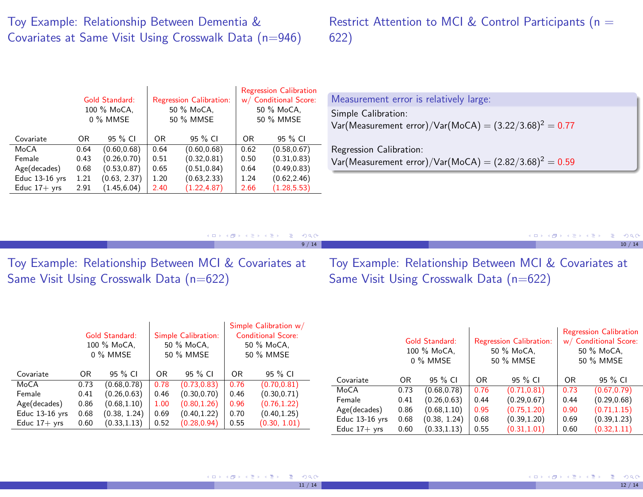# Toy Example: Relationship Between Dementia &Covariates at Same Visit Using Crosswalk Data (n=946)

# Restrict Attention to MCI & Control Participants (n = 622)

|                | <b>Gold Standard:</b><br>100 % MoCA,<br>0 % MMSE |              |      | <b>Regression Calibration:</b><br>50 % MoCA,<br>50 % MMSE | <b>Regression Calibration</b><br>w/ Conditional Score:<br>50 % MoCA,<br>50 % MMSE |              |  |
|----------------|--------------------------------------------------|--------------|------|-----------------------------------------------------------|-----------------------------------------------------------------------------------|--------------|--|
| Covariate      | 0 <sub>R</sub>                                   | 95 % CI      | 0R   | 95 % CI                                                   | OR                                                                                | 95 % CI      |  |
| MoCA           | 0.64                                             | (0.60, 0.68) | 0.64 | (0.60, 0.68)                                              | 0.62                                                                              | (0.58, 0.67) |  |
| Female         | 0.43                                             | (0.26, 0.70) | 0.51 | (0.32, 0.81)                                              | 0.50                                                                              | (0.31, 0.83) |  |
| Age(decades)   | 0.68                                             | (0.53, 0.87) | 0.65 | (0.51, 0.84)                                              | 0.64                                                                              | (0.49, 0.83) |  |
| Educ 13-16 yrs | 1.21                                             | (0.63, 2.37) | 1.20 | (0.63, 2.33)                                              | 1.24                                                                              | (0.62, 2.46) |  |
| Educ $17+$ yrs | 2.91                                             | (1.45, 6.04) | 2.40 | (1.22, 4.87)                                              | 2.66                                                                              | (1.28, 5.53) |  |

| Var(Measurement error)/Var(MoCA) = $(3.22/3.68)^2$ = 0.77<br>Regression Calibration: |  |
|--------------------------------------------------------------------------------------|--|
| Var(Measurement error)/Var(MoCA) = $(2.82/3.68)^2 = 0.59$                            |  |

|               | - KD → K@ → K 를 → K 를 → - 를 → 9 Q (^- |      |  | - K □ ▶ K @ ▶ K 로 ▶ K 로 ▶ - 로 - K 9 Q @ L |       |
|---------------|---------------------------------------|------|--|-------------------------------------------|-------|
|               |                                       | 9/14 |  |                                           | 10/14 |
| <b>PULLER</b> | $\blacksquare$                        |      |  | $\mathbf{N}$                              |       |

Toy Example: Relationship Between MCI & Covariates atSame Visit Using Crosswalk Data (n=622)

Toy Example: Relationship Between MCI & Covariates atSame Visit Using Crosswalk Data (n=622)

|                |      | <b>Gold Standard:</b><br>100 % MoCA,<br>0 % MMSE |                | <b>Simple Calibration:</b><br>50 % MoCA,<br>50 % MMSE |      | Simple Calibration w/<br><b>Conditional Score:</b><br>50 % MoCA,<br>50 % MMSE |                  |                | <b>Gold Standard:</b><br>100 % MoCA,<br>0 % MMSE |      | <b>Regression Calibration:</b><br>50 % MoCA,<br>50 % MMSE |      | <b>Regression Calibration</b><br>w/ Conditional Score:<br>50 % MoCA,<br>50 % MMSE |
|----------------|------|--------------------------------------------------|----------------|-------------------------------------------------------|------|-------------------------------------------------------------------------------|------------------|----------------|--------------------------------------------------|------|-----------------------------------------------------------|------|-----------------------------------------------------------------------------------|
| Covariate      | OR   | 95 % CI                                          | 0 <sub>R</sub> | 95 % CI                                               | OR   | 95 % CI                                                                       |                  |                |                                                  |      |                                                           |      |                                                                                   |
| MoCA           | 0.73 | (0.68, 0.78)                                     | 0.78           | (0.73, 0.83)                                          | 0.76 | (0.70, 0.81)                                                                  | Covariate        | 0 <sub>R</sub> | 95 % CI                                          | 0R   | 95 % CI                                                   | OR   | 95 % CI                                                                           |
| Female         | 0.41 | (0.26.0.63)                                      | 0.46           | (0.30.0.70)                                           | 0.46 | (0.30, 0.71)                                                                  | MoCA             | 0.73           | (0.68, 0.78)                                     | 0.76 | (0.71, 0.81)                                              | 0.73 | (0.67, 0.79)                                                                      |
|                |      |                                                  |                |                                                       |      |                                                                               | Female           | 0.41           | (0.26.0.63)                                      | 0.44 | (0.29, 0.67)                                              | 0.44 | (0.29, 0.68)                                                                      |
| Age(decades)   | 0.86 | (0.68, 1.10)                                     | 1.00           | (0.80, 1.26)                                          | 0.96 | (0.76, 1.22)                                                                  |                  |                |                                                  |      |                                                           |      |                                                                                   |
| Educ 13-16 yrs | 0.68 | (0.38, 1.24)                                     | 0.69           | (0.40.1.22)                                           | 0.70 | (0.40, 1.25)                                                                  | Age(decades)     | 0.86           | (0.68, 1.10)                                     | 0.95 | (0.75, 1.20)                                              | 0.90 | (0.71, 1.15)                                                                      |
| Educ $17+$ yrs |      |                                                  | 0.52           |                                                       | 0.55 |                                                                               | Educ $13-16$ yrs | 0.68           | (0.38, 1.24)                                     | 0.68 | (0.39, 1.20)                                              | 0.69 | (0.39, 1.23)                                                                      |
|                | 0.60 | (0.33, 1.13)                                     |                | (0.28, 0.94)                                          |      | (0.30, 1.01)                                                                  | Educ $17+$ yrs   | 0.60           | (0.33, 1.13)                                     | 0.55 | (0.31, 1.01)                                              | 0.60 | (0.32, 1.11)                                                                      |

11 / 14